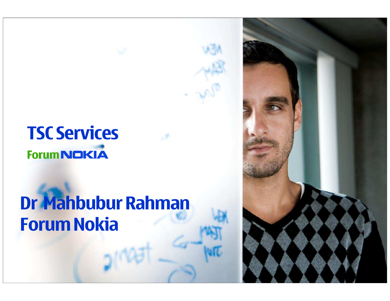## TSC Services**Forum NOKIA**

# Dr Mahbubur RahmanForum Nokia

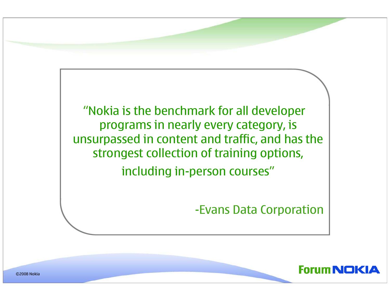

-Evans Data Corporation



©2008 Nokia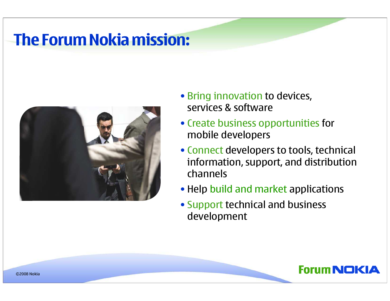### The Forum Nokia mission:



- Bring innovation to devices, services & software
- Create business opportunities for mobile developers
- Connect developers to tools, technical information, support, and distribution channels
- Help build and market applications
- Support technical and business development

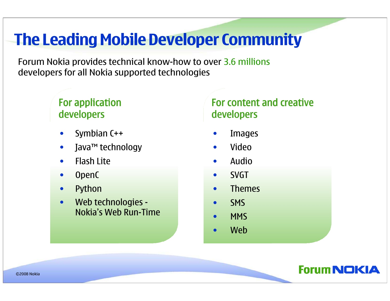## The Leading Mobile Developer Community

Forum Nokia provides technical know-how to over 3.6 millions developers for all Nokia supported technologies

#### For application developers

- •Symbian C++
- $\bullet$ Java™ technology
- •Flash Lite
- $\bullet$ OpenC
- $\bullet$ Python
- • Web technologies - Nokia's Web Run-Time

#### For content and creative developers

- •Images
- •Video
- •Audio
- $\bullet$ SVGT
- •Themes
- $\bullet$ SMS
- •**MMS**
- •Web



©2008 Nokia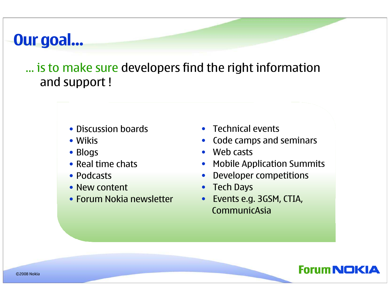### Our goal…

… is to make sure developers find the right information and support !

- Discussion boards
- Wikis
- Blogs
- Real time chats
- Podcasts
- New content
- Forum Nokia newsletter
- Technical events
- Code camps and seminars
- Web casts
- Mobile Application Summits
- •Developer competitions
- Tech Days
- • Events e.g. 3GSM, CTIA, CommunicAsia

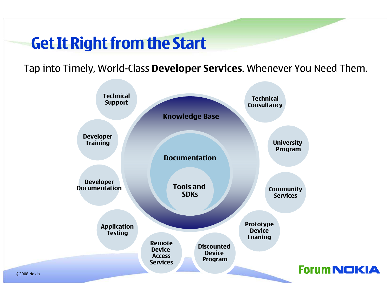### Get It Right from the Start

Tap into Timely, World-Class Developer Services. Whenever You Need Them.

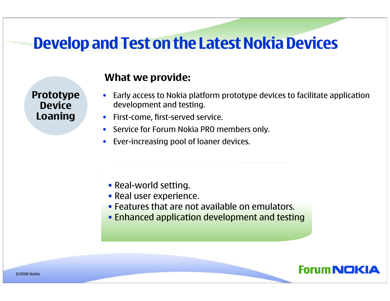### Develop and Test on the Latest Nokia Devices

Prototype**Device** Loaning

- $\bullet$  Early access to Nokia platform prototype devices to facilitate application development and testing.
- $\bullet$ First-come, first-served service.
- Service for Forum Nokia PRO members only.
- $\bullet$ Ever-increasing pool of loaner devices.

- Real-world setting.
- Real user experience.
- Features that are not available on emulators.
- Enhanced application development and testing

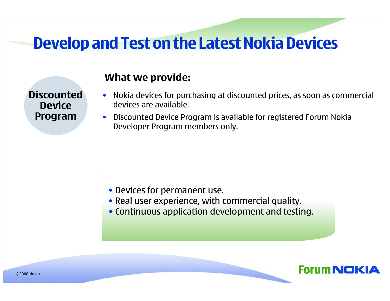### Develop and Test on the Latest Nokia Devices

**Discounted Device** Program

- Nokia devices for purchasing at discounted prices, as soon as commercial devices are available.
- $\bullet$  Discounted Device Program is available for registered Forum Nokia Developer Program members only.

- Devices for permanent use.
- Real user experience, with commercial quality.
- Continuous application development and testing.

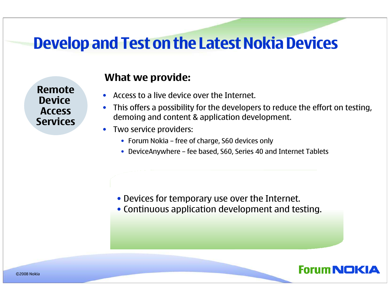### Develop and Test on the Latest Nokia Devices

Remote Device AccessServices

- •Access to a live device over the Internet.
- $\bullet$  This offers a possibility for the developers to reduce the effort on testing, demoing and content & application development.
- $\bullet$  Two service providers:
	- Forum Nokia free of charge, S60 devices only
	- DeviceAnywhere fee based, S60, Series 40 and Internet Tablets

- Devices for temporary use over the Internet.
- Continuous application development and testing.

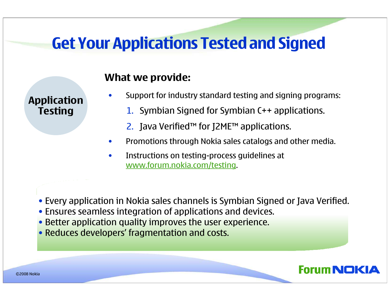### Get Your Applications Tested and Signed

What we provide:

•Support for industry standard testing and signing programs:

- 1. Symbian Signed for Symbian C++ applications.
- 2. Java Verified™ for J2ME™ applications.
- •Promotions through Nokia sales catalogs and other media.

Forum NOK

- $\bullet$  Instructions on testing-process guidelines at www.forum.nokia.com/testing.
- Every application in Nokia sales channels is Symbian Signed or Java Verified.
- Ensures seamless integration of applications and devices.
- Better application quality improves the user experience.
- Reduces developers' fragmentation and costs.

ApplicationTesting

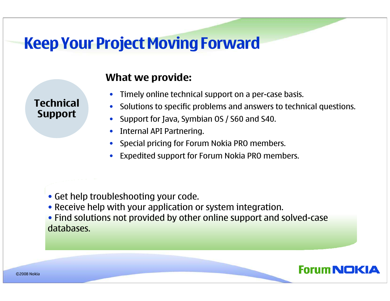### Keep Your Project Moving Forward

TechnicalSupport

- •Timely online technical support on a per-case basis.
- Solutions to specific problems and answers to technical questions.
- •Support for Java, Symbian OS / S60 and S40.
- $\bullet$ Internal API Partnering.
- •Special pricing for Forum Nokia PRO members.
- Expedited support for Forum Nokia PRO members.
- Get help troubleshooting your code.
- Receive help with your application or system integration.
- Find solutions not provided by other online support and solved-case databases.

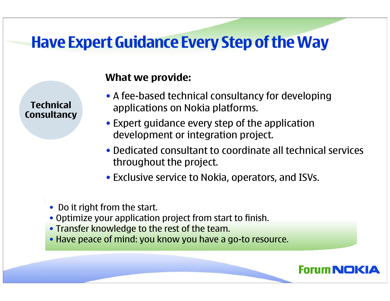### Have Expert Guidance Every Step of the Way

TechnicalConsultancy

- A fee-based technical consultancy for developing applications on Nokia platforms.
- Expert guidance every step of the application development or integration project.
- Dedicated consultant to coordinate all technical services throughout the project.
- Exclusive service to Nokia, operators, and ISVs.

- Do it right from the start.
- Optimize your application project from start to finish.
- Transfer knowledge to the rest of the team.
- Have peace of mind: you know you have a go-to resource.

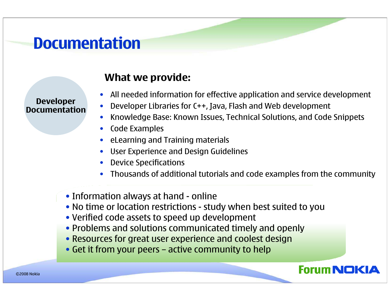### **Documentation**

DeveloperDocumentation

- •All needed information for effective application and service development
- $\bullet$ Developer Libraries for C++, Java, Flash and Web development
- $\bullet$ Knowledge Base: Known Issues, Technical Solutions, and Code Snippets
- $\bullet$ Code Examples
- eLearning and Training materials
- •User Experience and Design Guidelines
- Device Specifications
- •Thousands of additional tutorials and code examples from the community
- Information always at hand online
- No time or location restrictions study when best suited to you
- Verified code assets to speed up development
- Problems and solutions communicated timely and openly
- Resources for great user experience and coolest design
- Get it from your peers active community to help

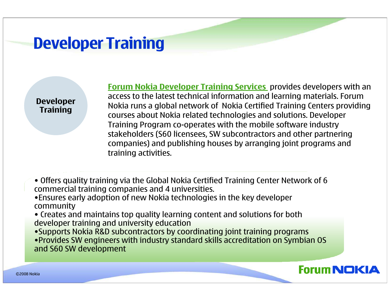### Developer Training

DeveloperTraining

Forum Nokia Developer Training Services provides developers with an access to the latest technical information and learning materials. Forum Nokia runs a global network of Nokia Certified Training Centers providing courses about Nokia related technologies and solutions. Developer Training Program co-operates with the mobile software industry stakeholders (S60 licensees, SW subcontractors and other partnering companies) and publishing houses by arranging joint programs andtraining activities.

- Offers quality training via the Global Nokia Certified Training Center Network of 6 commercial training companies and 4 universities.
- •Ensures early adoption of new Nokia technologies in the key developer community
- Creates and maintains top quality learning content and solutions for both developer training and university education
- •Supports Nokia R&D subcontractors by coordinating joint training programs •Provides SW engineers with industry standard skills accreditation on Symbian OS and S60 SW development

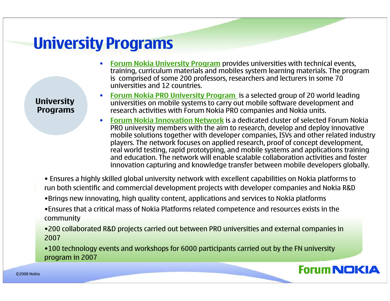### University Programs

**University** Programs

- •• Forum Nokia University Program provides universities with technical events,<br>training, curriculum materials and mobiles system learning materials. The progr training, curriculum materials and mobiles system learning materials. The program is comprised of some 200 professors, researchers and lecturers in some 70 universities and 12 countries.
- •• Forum Nokia PRO University Program is a selected group of 20 world leading<br>universities on mobile systems to carry out mobile software development and universities on mobile systems to carry out mobile software development and research activities with Forum Nokia PRO companies and Nokia units.
- •• Forum Nokia Innovation Network is a dedicated cluster of selected Forum Nokia<br>RPO university members with the sim to research, develop and deploy innovative PRO university members with the aim to research, develop and deploy innovative mobile solutions together with developer companies, ISVs and other related industry players. The network focuses on applied research, proof of concept development, real world testing, rapid prototyping, and mobile systems and applications training and education. The network will enable scalable collaboration activities and foster innovation capturing and knowledge transfer between mobile developers globally.
- Ensures a highly skilled global university network with excellent capabilities on Nokia platforms to run both scientific and commercial development projects with developer companies and Nokia R&D
- •Brings new innovating, high quality content, applications and services to Nokia platforms
- •Ensures that a critical mass of Nokia Platforms related competence and resources exists in the community
- •200 collaborated R&D projects carried out between PRO universities and external companies in 2007
- •100 technology events and workshops for 6000 participants carried out by the FN university program in 2007